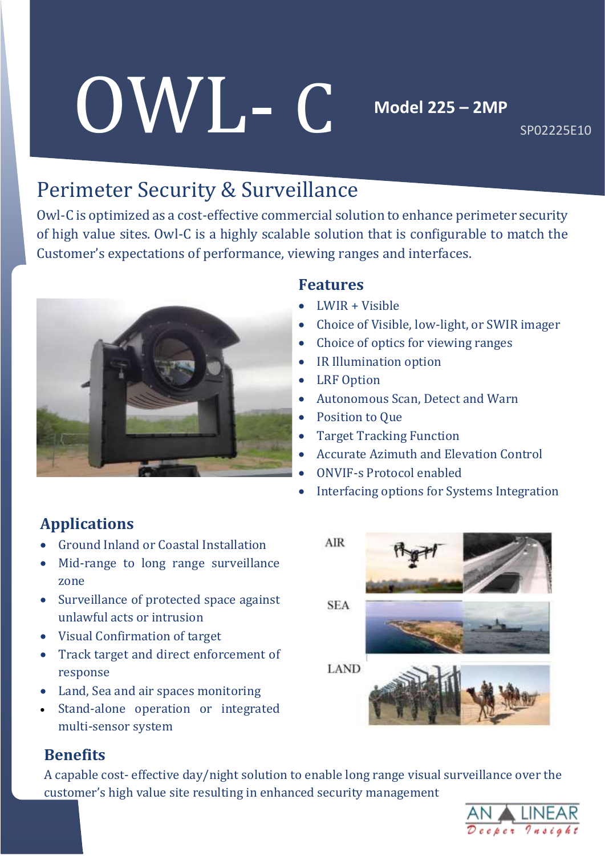# OWL- C

**Model 225 – 2MP** 

SP02225E10

# Perimeter Security & Surveillance

Owl-C is optimized as a cost-effective commercial solution to enhance perimeter security of high value sites. Owl-C is a highly scalable solution that is configurable to match the Customer's expectations of performance, viewing ranges and interfaces.



### **Features**

- LWIR + Visible
- Choice of Visible, low-light, or SWIR imager
- Choice of optics for viewing ranges
- IR Illumination option
- LRF Option
- Autonomous Scan, Detect and Warn
- Position to Que
- Target Tracking Function
- Accurate Azimuth and Elevation Control
- ONVIF-s Protocol enabled
- Interfacing options for Systems Integration

### **Applications**

- Ground Inland or Coastal Installation
- Mid-range to long range surveillance zone
- Surveillance of protected space against unlawful acts or intrusion
- Visual Confirmation of target
- Track target and direct enforcement of response
- Land, Sea and air spaces monitoring
- Stand-alone operation or integrated multi-sensor system

# AIR **SEA LAND**

### **Benefits**

A capable cost- effective day/night solution to enable long range visual surveillance over the customer's high value site resulting in enhanced security management